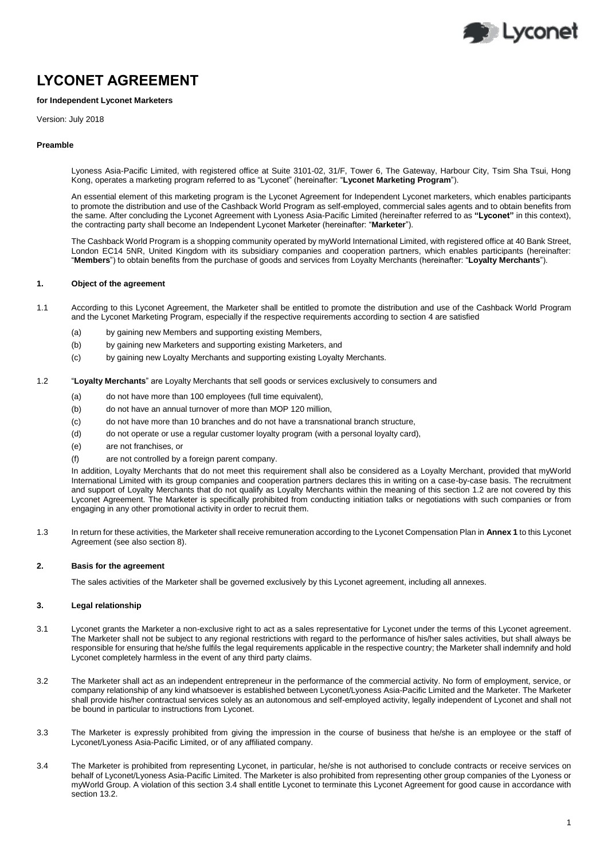

# **LYCONET AGREEMENT**

## **for Independent Lyconet Marketers**

Version: July 2018

## **Preamble**

Lyoness Asia-Pacific Limited, with registered office at Suite 3101-02, 31/F, Tower 6, The Gateway, Harbour City, Tsim Sha Tsui, Hong Kong, operates a marketing program referred to as "Lyconet" (hereinafter: "**Lyconet Marketing Program**").

An essential element of this marketing program is the Lyconet Agreement for Independent Lyconet marketers, which enables participants to promote the distribution and use of the Cashback World Program as self-employed, commercial sales agents and to obtain benefits from the same. After concluding the Lyconet Agreement with Lyoness Asia-Pacific Limited (hereinafter referred to as **"Lyconet"** in this context), the contracting party shall become an Independent Lyconet Marketer (hereinafter: "**Marketer**").

The Cashback World Program is a shopping community operated by myWorld International Limited, with registered office at 40 Bank Street, London EC14 5NR, United Kingdom with its subsidiary companies and cooperation partners, which enables participants (hereinafter: "**Members**") to obtain benefits from the purchase of goods and services from Loyalty Merchants (hereinafter: "**Loyalty Merchants**").

# **1. Object of the agreement**

- 1.1 According to this Lyconet Agreement, the Marketer shall be entitled to promote the distribution and use of the Cashback World Program and the Lyconet Marketing Program, especially if the respective requirements according to sectio[n 4](#page-1-0) are satisfied
	- (a) by gaining new Members and supporting existing Members,
	- (b) by gaining new Marketers and supporting existing Marketers, and
	- (c) by gaining new Loyalty Merchants and supporting existing Loyalty Merchants.
- <span id="page-0-0"></span>1.2 "**Loyalty Merchants**" are Loyalty Merchants that sell goods or services exclusively to consumers and
	- (a) do not have more than 100 employees (full time equivalent),
	- (b) do not have an annual turnover of more than MOP 120 million,
	- (c) do not have more than 10 branches and do not have a transnational branch structure,
	- (d) do not operate or use a regular customer loyalty program (with a personal loyalty card),
	- (e) are not franchises, or
	- (f) are not controlled by a foreign parent company.

In addition, Loyalty Merchants that do not meet this requirement shall also be considered as a Loyalty Merchant, provided that myWorld International Limited with its group companies and cooperation partners declares this in writing on a case-by-case basis. The recruitment and support of Loyalty Merchants that do not qualify as Loyalty Merchants within the meaning of this section [1.2](#page-0-0) are not covered by this Lyconet Agreement. The Marketer is specifically prohibited from conducting initiation talks or negotiations with such companies or from engaging in any other promotional activity in order to recruit them.

1.3 In return for these activities, the Marketer shall receive remuneration according to the Lyconet Compensation Plan in **Annex 1** to this Lyconet Agreement (see also section 8).

#### **2. Basis for the agreement**

The sales activities of the Marketer shall be governed exclusively by this Lyconet agreement, including all annexes.

## **3. Legal relationship**

- 3.1 Lyconet grants the Marketer a non-exclusive right to act as a sales representative for Lyconet under the terms of this Lyconet agreement. The Marketer shall not be subject to any regional restrictions with regard to the performance of his/her sales activities, but shall always be responsible for ensuring that he/she fulfils the legal requirements applicable in the respective country; the Marketer shall indemnify and hold Lyconet completely harmless in the event of any third party claims.
- 3.2 The Marketer shall act as an independent entrepreneur in the performance of the commercial activity. No form of employment, service, or company relationship of any kind whatsoever is established between Lyconet/Lyoness Asia-Pacific Limited and the Marketer. The Marketer shall provide his/her contractual services solely as an autonomous and self-employed activity, legally independent of Lyconet and shall not be bound in particular to instructions from Lyconet.
- 3.3 The Marketer is expressly prohibited from giving the impression in the course of business that he/she is an employee or the staff of Lyconet/Lyoness Asia-Pacific Limited, or of any affiliated company.
- <span id="page-0-1"></span>3.4 The Marketer is prohibited from representing Lyconet, in particular, he/she is not authorised to conclude contracts or receive services on behalf of Lyconet/Lyoness Asia-Pacific Limited. The Marketer is also prohibited from representing other group companies of the Lyoness or myWorld Group. A violation of this section [3.4](#page-0-1) shall entitle Lyconet to terminate this Lyconet Agreement for good cause in accordance with section 13.2.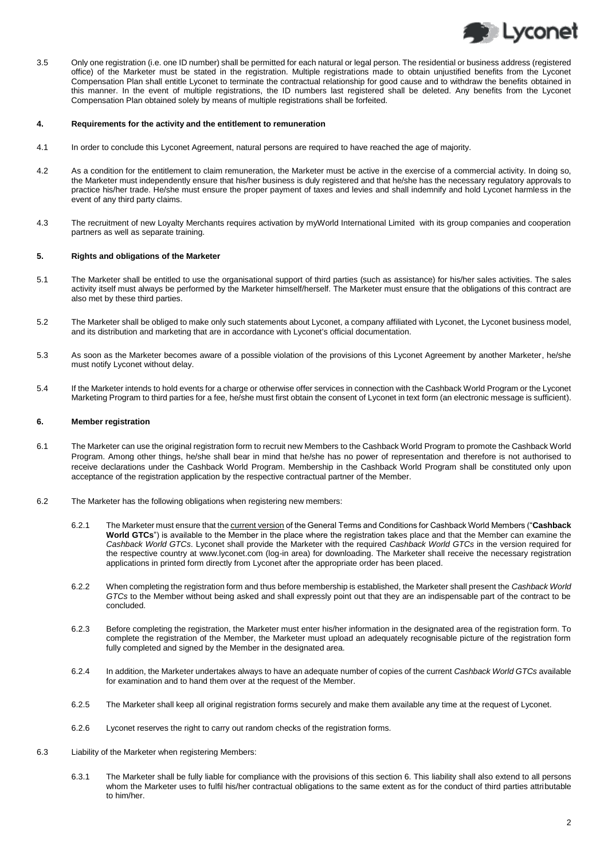<span id="page-1-0"></span>

3.5 Only one registration (i.e. one ID number) shall be permitted for each natural or legal person. The residential or business address (registered office) of the Marketer must be stated in the registration. Multiple registrations made to obtain unjustified benefits from the Lyconet Compensation Plan shall entitle Lyconet to terminate the contractual relationship for good cause and to withdraw the benefits obtained in this manner. In the event of multiple registrations, the ID numbers last registered shall be deleted. Any benefits from the Lyconet Compensation Plan obtained solely by means of multiple registrations shall be forfeited.

#### **4. Requirements for the activity and the entitlement to remuneration**

- 4.1 In order to conclude this Lyconet Agreement, natural persons are required to have reached the age of majority.
- 4.2 As a condition for the entitlement to claim remuneration, the Marketer must be active in the exercise of a commercial activity. In doing so, the Marketer must independently ensure that his/her business is duly registered and that he/she has the necessary regulatory approvals to practice his/her trade. He/she must ensure the proper payment of taxes and levies and shall indemnify and hold Lyconet harmless in the event of any third party claims.
- 4.3 The recruitment of new Loyalty Merchants requires activation by myWorld International Limited with its group companies and cooperation partners as well as separate training.

#### **5. Rights and obligations of the Marketer**

- 5.1 The Marketer shall be entitled to use the organisational support of third parties (such as assistance) for his/her sales activities. The sales activity itself must always be performed by the Marketer himself/herself. The Marketer must ensure that the obligations of this contract are also met by these third parties.
- 5.2 The Marketer shall be obliged to make only such statements about Lyconet, a company affiliated with Lyconet, the Lyconet business model, and its distribution and marketing that are in accordance with Lyconet's official documentation.
- 5.3 As soon as the Marketer becomes aware of a possible violation of the provisions of this Lyconet Agreement by another Marketer, he/she must notify Lyconet without delay.
- 5.4 If the Marketer intends to hold events for a charge or otherwise offer services in connection with the Cashback World Program or the Lyconet Marketing Program to third parties for a fee, he/she must first obtain the consent of Lyconet in text form (an electronic message is sufficient).

## **6. Member registration**

- 6.1 The Marketer can use the original registration form to recruit new Members to the Cashback World Program to promote the Cashback World Program. Among other things, he/she shall bear in mind that he/she has no power of representation and therefore is not authorised to receive declarations under the Cashback World Program. Membership in the Cashback World Program shall be constituted only upon acceptance of the registration application by the respective contractual partner of the Member.
- 6.2 The Marketer has the following obligations when registering new members:
	- 6.2.1 The Marketer must ensure that the current version of the General Terms and Conditions for Cashback World Members ("**Cashback World GTCs**") is available to the Member in the place where the registration takes place and that the Member can examine the *Cashback World GTCs*. Lyconet shall provide the Marketer with the required *Cashback World GTCs* in the version required for the respective country at www.lyconet.com (log-in area) for downloading. The Marketer shall receive the necessary registration applications in printed form directly from Lyconet after the appropriate order has been placed.
	- 6.2.2 When completing the registration form and thus before membership is established, the Marketer shall present the *Cashback World GTCs* to the Member without being asked and shall expressly point out that they are an indispensable part of the contract to be concluded.
	- 6.2.3 Before completing the registration, the Marketer must enter his/her information in the designated area of the registration form. To complete the registration of the Member, the Marketer must upload an adequately recognisable picture of the registration form fully completed and signed by the Member in the designated area.
	- 6.2.4 In addition, the Marketer undertakes always to have an adequate number of copies of the current *Cashback World GTCs* available for examination and to hand them over at the request of the Member.
	- 6.2.5 The Marketer shall keep all original registration forms securely and make them available any time at the request of Lyconet.
	- 6.2.6 Lyconet reserves the right to carry out random checks of the registration forms.
- 6.3 Liability of the Marketer when registering Members:
	- 6.3.1 The Marketer shall be fully liable for compliance with the provisions of this section 6. This liability shall also extend to all persons whom the Marketer uses to fulfil his/her contractual obligations to the same extent as for the conduct of third parties attributable to him/her.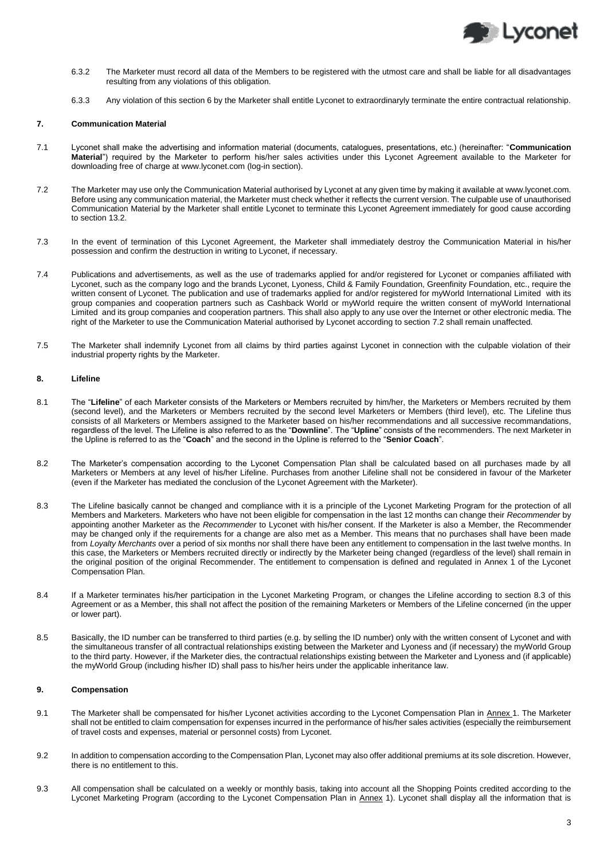

- 6.3.2 The Marketer must record all data of the Members to be registered with the utmost care and shall be liable for all disadvantages resulting from any violations of this obligation.
- 6.3.3 Any violation of this section 6 by the Marketer shall entitle Lyconet to extraordinaryly terminate the entire contractual relationship.

### **7. Communication Material**

- 7.1 Lyconet shall make the advertising and information material (documents, catalogues, presentations, etc.) (hereinafter: "**Communication Material**") required by the Marketer to perform his/her sales activities under this Lyconet Agreement available to the Marketer for downloading free of charge a[t www.lyconet.com](http://www.lyconet.com/) (log-in section).
- <span id="page-2-0"></span>7.2 The Marketer may use only the Communication Material authorised by Lyconet at any given time by making it available a[t www.lyconet.com.](http://www.lyconet.com/) Before using any communication material, the Marketer must check whether it reflects the current version. The culpable use of unauthorised Communication Material by the Marketer shall entitle Lyconet to terminate this Lyconet Agreement immediately for good cause according to section 13.2.
- 7.3 In the event of termination of this Lyconet Agreement, the Marketer shall immediately destroy the Communication Material in his/her possession and confirm the destruction in writing to Lyconet, if necessary.
- <span id="page-2-1"></span>7.4 Publications and advertisements, as well as the use of trademarks applied for and/or registered for Lyconet or companies affiliated with Lyconet, such as the company logo and the brands Lyconet, Lyoness, Child & Family Foundation, Greenfinity Foundation, etc., require the written consent of Lyconet. The publication and use of trademarks applied for and/or registered for myWorld International Limited with its group companies and cooperation partners such as Cashback World or myWorld require the written consent of myWorld International Limited and its group companies and cooperation partners. This shall also apply to any use over the Internet or other electronic media. The right of the Marketer to use the Communication Material authorised by Lyconet according to sectio[n 7.2](#page-2-0) shall remain unaffected.
- 7.5 The Marketer shall indemnify Lyconet from all claims by third parties against Lyconet in connection with the culpable violation of their industrial property rights by the Marketer.

## **8. Lifeline**

- 8.1 The "**Lifeline**" of each Marketer consists of the Marketers or Members recruited by him/her, the Marketers or Members recruited by them (second level), and the Marketers or Members recruited by the second level Marketers or Members (third level), etc. The Lifeline thus consists of all Marketers or Members assigned to the Marketer based on his/her recommendations and all successive recommandations, regardless of the level. The Lifeline is also referred to as the "**Downline**". The "**Upline**" consists of the recommenders. The next Marketer in the Upline is referred to as the "**Coach**" and the second in the Upline is referred to the "**Senior Coach**".
- 8.2 The Marketer's compensation according to the Lyconet Compensation Plan shall be calculated based on all purchases made by all Marketers or Members at any level of his/her Lifeline. Purchases from another Lifeline shall not be considered in favour of the Marketer (even if the Marketer has mediated the conclusion of the Lyconet Agreement with the Marketer).
- 8.3 The Lifeline basically cannot be changed and compliance with it is a principle of the Lyconet Marketing Program for the protection of all Members and Marketers. Marketers who have not been eligible for compensation in the last 12 months can change their *Recommender* by appointing another Marketer as the *Recommender* to Lyconet with his/her consent. If the Marketer is also a Member, the Recommender may be changed only if the requirements for a change are also met as a Member. This means that no purchases shall have been made from *Loyalty Merchants* over a period of six months nor shall there have been any entitlement to compensation in the last twelve months. In this case, the Marketers or Members recruited directly or indirectly by the Marketer being changed (regardless of the level) shall remain in the original position of the original Recommender. The entitlement to compensation is defined and regulated in Annex 1 of the Lyconet Compensation Plan.
- 8.4 If a Marketer terminates his/her participation in the Lyconet Marketing Program, or changes the Lifeline according to section 8.3 of this Agreement or as a Member, this shall not affect the position of the remaining Marketers or Members of the Lifeline concerned (in the upper or lower part).
- 8.5 Basically, the ID number can be transferred to third parties (e.g. by selling the ID number) only with the written consent of Lyconet and with the simultaneous transfer of all contractual relationships existing between the Marketer and Lyoness and (if necessary) the myWorld Group to the third party. However, if the Marketer dies, the contractual relationships existing between the Marketer and Lyoness and (if applicable) the myWorld Group (including his/her ID) shall pass to his/her heirs under the applicable inheritance law.

## **9. Compensation**

- 9.1 The Marketer shall be compensated for his/her Lyconet activities according to the Lyconet Compensation Plan in Annex 1. The Marketer shall not be entitled to claim compensation for expenses incurred in the performance of his/her sales activities (especially the reimbursement of travel costs and expenses, material or personnel costs) from Lyconet.
- 9.2 In addition to compensation according to the Compensation Plan, Lyconet may also offer additional premiums at its sole discretion. However, there is no entitlement to this.
- 9.3 All compensation shall be calculated on a weekly or monthly basis, taking into account all the Shopping Points credited according to the Lyconet Marketing Program (according to the Lyconet Compensation Plan in Annex 1). Lyconet shall display all the information that is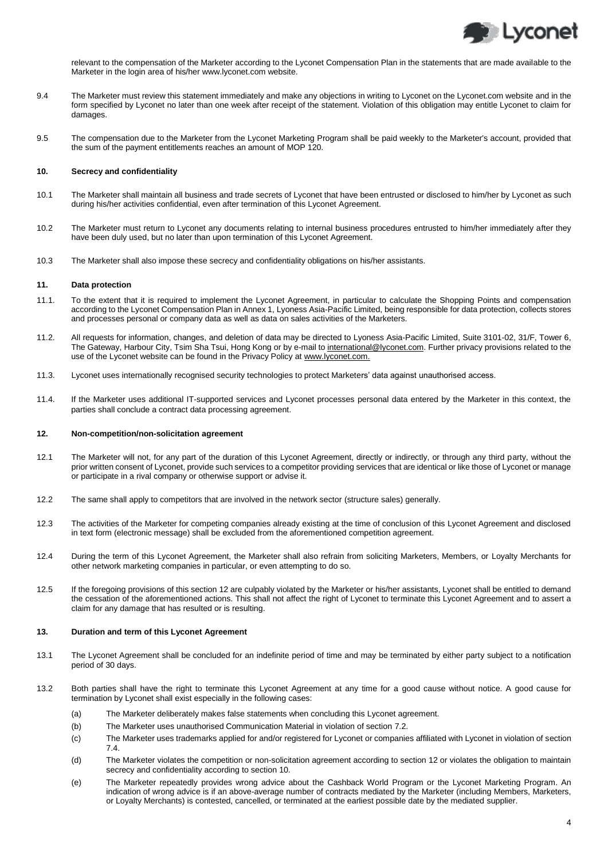

relevant to the compensation of the Marketer according to the Lyconet Compensation Plan in the statements that are made available to the Marketer in the login area of his/her www.lyconet.com website.

- 9.4 The Marketer must review this statement immediately and make any objections in writing to Lyconet on the Lyconet.com website and in the form specified by Lyconet no later than one week after receipt of the statement. Violation of this obligation may entitle Lyconet to claim for damages.
- 9.5 The compensation due to the Marketer from the Lyconet Marketing Program shall be paid weekly to the Marketer's account, provided that the sum of the payment entitlements reaches an amount of MOP 120.

## **10. Secrecy and confidentiality**

- 10.1 The Marketer shall maintain all business and trade secrets of Lyconet that have been entrusted or disclosed to him/her by Lyconet as such during his/her activities confidential, even after termination of this Lyconet Agreement.
- 10.2 The Marketer must return to Lyconet any documents relating to internal business procedures entrusted to him/her immediately after they have been duly used, but no later than upon termination of this Lyconet Agreement.
- 10.3 The Marketer shall also impose these secrecy and confidentiality obligations on his/her assistants.

#### **11. Data protection**

- 11.1. To the extent that it is required to implement the Lyconet Agreement, in particular to calculate the Shopping Points and compensation according to the Lyconet Compensation Plan in Annex 1, Lyoness Asia-Pacific Limited, being responsible for data protection, collects stores and processes personal or company data as well as data on sales activities of the Marketers.
- 11.2. All requests for information, changes, and deletion of data may be directed to Lyoness Asia-Pacific Limited, Suite 3101-02, 31/F, Tower 6, The Gateway, Harbour City, Tsim Sha Tsui, Hong Kong or by e-mail to international@lyconet.com. Further privacy provisions related to the use of the Lyconet website can be found in the Privacy Policy at www.lyconet.com.
- 11.3. Lyconet uses internationally recognised security technologies to protect Marketers' data against unauthorised access.
- 11.4. If the Marketer uses additional IT-supported services and Lyconet processes personal data entered by the Marketer in this context, the parties shall conclude a contract data processing agreement.

#### <span id="page-3-0"></span>**12. Non-competition/non-solicitation agreement**

- 12.1 The Marketer will not, for any part of the duration of this Lyconet Agreement, directly or indirectly, or through any third party, without the prior written consent of Lyconet, provide such services to a competitor providing services that are identical or like those of Lyconet or manage or participate in a rival company or otherwise support or advise it.
- 12.2 The same shall apply to competitors that are involved in the network sector (structure sales) generally.
- 12.3 The activities of the Marketer for competing companies already existing at the time of conclusion of this Lyconet Agreement and disclosed in text form (electronic message) shall be excluded from the aforementioned competition agreement.
- 12.4 During the term of this Lyconet Agreement, the Marketer shall also refrain from soliciting Marketers, Members, or Loyalty Merchants for other network marketing companies in particular, or even attempting to do so.
- 12.5 If the foregoing provisions of this sectio[n 12](#page-3-0) are culpably violated by the Marketer or his/her assistants, Lyconet shall be entitled to demand the cessation of the aforementioned actions. This shall not affect the right of Lyconet to terminate this Lyconet Agreement and to assert a claim for any damage that has resulted or is resulting.

#### **13. Duration and term of this Lyconet Agreement**

- 13.1 The Lyconet Agreement shall be concluded for an indefinite period of time and may be terminated by either party subject to a notification period of 30 days.
- 13.2 Both parties shall have the right to terminate this Lyconet Agreement at any time for a good cause without notice. A good cause for termination by Lyconet shall exist especially in the following cases:
	- (a) The Marketer deliberately makes false statements when concluding this Lyconet agreement.
	- (b) The Marketer uses unauthorised Communication Material in violation of sectio[n 7.2.](#page-2-0)
	- (c) The Marketer uses trademarks applied for and/or registered for Lyconet or companies affiliated with Lyconet in violation of section [7.4.](#page-2-1)
	- (d) The Marketer violates the competition or non-solicitation agreement according to section 12 or violates the obligation to maintain secrecy and confidentiality according to section 10.
	- (e) The Marketer repeatedly provides wrong advice about the Cashback World Program or the Lyconet Marketing Program. An indication of wrong advice is if an above-average number of contracts mediated by the Marketer (including Members, Marketers, or Loyalty Merchants) is contested, cancelled, or terminated at the earliest possible date by the mediated supplier.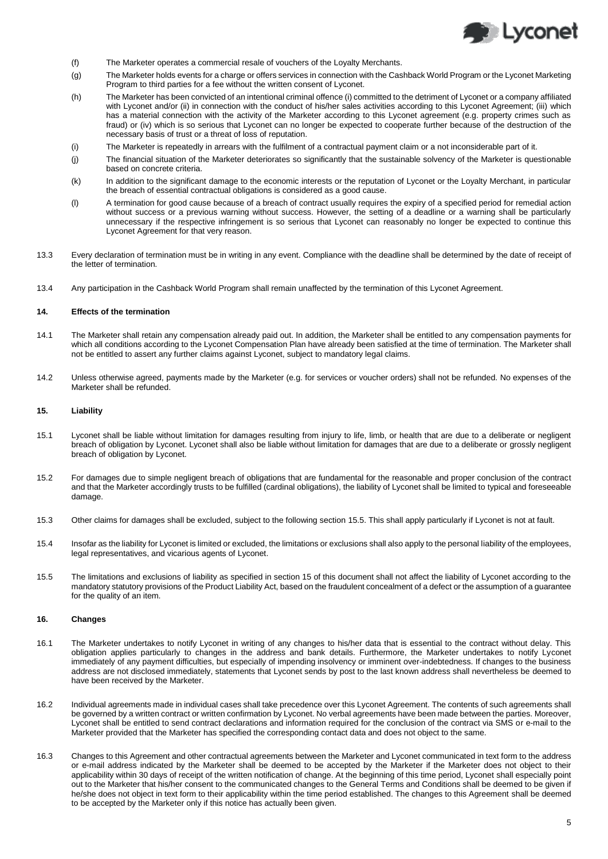

- (f) The Marketer operates a commercial resale of vouchers of the Loyalty Merchants.
- (g) The Marketer holds events for a charge or offers services in connection with the Cashback World Program or the Lyconet Marketing Program to third parties for a fee without the written consent of Lyconet.
- (h) The Marketer has been convicted of an intentional criminal offence (i) committed to the detriment of Lyconet or a company affiliated with Lyconet and/or (ii) in connection with the conduct of his/her sales activities according to this Lyconet Agreement; (iii) which has a material connection with the activity of the Marketer according to this Lyconet agreement (e.g. property crimes such as fraud) or (iv) which is so serious that Lyconet can no longer be expected to cooperate further because of the destruction of the necessary basis of trust or a threat of loss of reputation.
- (i) The Marketer is repeatedly in arrears with the fulfilment of a contractual payment claim or a not inconsiderable part of it.
- (j) The financial situation of the Marketer deteriorates so significantly that the sustainable solvency of the Marketer is questionable based on concrete criteria.
- (k) In addition to the significant damage to the economic interests or the reputation of Lyconet or the Loyalty Merchant, in particular the breach of essential contractual obligations is considered as a good cause.
- (l) A termination for good cause because of a breach of contract usually requires the expiry of a specified period for remedial action without success or a previous warning without success. However, the setting of a deadline or a warning shall be particularly unnecessary if the respective infringement is so serious that Lyconet can reasonably no longer be expected to continue this Lyconet Agreement for that very reason.
- 13.3 Every declaration of termination must be in writing in any event. Compliance with the deadline shall be determined by the date of receipt of the letter of termination.
- 13.4 Any participation in the Cashback World Program shall remain unaffected by the termination of this Lyconet Agreement.

#### **14. Effects of the termination**

- 14.1 The Marketer shall retain any compensation already paid out. In addition, the Marketer shall be entitled to any compensation payments for which all conditions according to the Lyconet Compensation Plan have already been satisfied at the time of termination. The Marketer shall not be entitled to assert any further claims against Lyconet, subject to mandatory legal claims.
- 14.2 Unless otherwise agreed, payments made by the Marketer (e.g. for services or voucher orders) shall not be refunded. No expenses of the Marketer shall be refunded.

#### **15. Liability**

- 15.1 Lyconet shall be liable without limitation for damages resulting from injury to life, limb, or health that are due to a deliberate or negligent breach of obligation by Lyconet. Lyconet shall also be liable without limitation for damages that are due to a deliberate or grossly negligent breach of obligation by Lyconet.
- 15.2 For damages due to simple negligent breach of obligations that are fundamental for the reasonable and proper conclusion of the contract and that the Marketer accordingly trusts to be fulfilled (cardinal obligations), the liability of Lyconet shall be limited to typical and foreseeable damage.
- 15.3 Other claims for damages shall be excluded, subject to the following section [15.5.](#page-4-0) This shall apply particularly if Lyconet is not at fault.
- 15.4 Insofar as the liability for Lyconet is limited or excluded, the limitations or exclusions shall also apply to the personal liability of the employees, legal representatives, and vicarious agents of Lyconet.
- <span id="page-4-0"></span>15.5 The limitations and exclusions of liability as specified in section 15 of this document shall not affect the liability of Lyconet according to the mandatory statutory provisions of the Product Liability Act, based on the fraudulent concealment of a defect or the assumption of a guarantee for the quality of an item.

## **16. Changes**

- 16.1 The Marketer undertakes to notify Lyconet in writing of any changes to his/her data that is essential to the contract without delay. This obligation applies particularly to changes in the address and bank details. Furthermore, the Marketer undertakes to notify Lyconet immediately of any payment difficulties, but especially of impending insolvency or imminent over-indebtedness. If changes to the business address are not disclosed immediately, statements that Lyconet sends by post to the last known address shall nevertheless be deemed to have been received by the Marketer.
- 16.2 Individual agreements made in individual cases shall take precedence over this Lyconet Agreement. The contents of such agreements shall be governed by a written contract or written confirmation by Lyconet. No verbal agreements have been made between the parties. Moreover, Lyconet shall be entitled to send contract declarations and information required for the conclusion of the contract via SMS or e-mail to the Marketer provided that the Marketer has specified the corresponding contact data and does not object to the same.
- 16.3 Changes to this Agreement and other contractual agreements between the Marketer and Lyconet communicated in text form to the address or e-mail address indicated by the Marketer shall be deemed to be accepted by the Marketer if the Marketer does not object to their applicability within 30 days of receipt of the written notification of change. At the beginning of this time period, Lyconet shall especially point out to the Marketer that his/her consent to the communicated changes to the General Terms and Conditions shall be deemed to be given if he/she does not object in text form to their applicability within the time period established. The changes to this Agreement shall be deemed to be accepted by the Marketer only if this notice has actually been given.